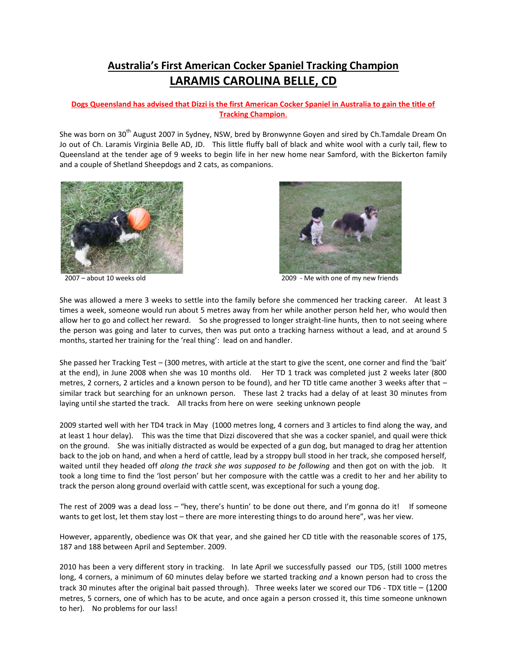## **Australia's First American Cocker Spaniel Tracking Champion LARAMIS CAROLINA BELLE, CD**

## **Dogs Queensland has advised that Dizzi is the first American Cocker Spaniel in Australia to gain the title of Tracking Champion**.

She was born on 30<sup>th</sup> August 2007 in Sydney, NSW, bred by Bronwynne Goyen and sired by Ch.Tamdale Dream On Jo out of Ch. Laramis Virginia Belle AD, JD. This little fluffy ball of black and white wool with a curly tail, flew to Queensland at the tender age of 9 weeks to begin life in her new home near Samford, with the Bickerton family and a couple of Shetland Sheepdogs and 2 cats, as companions.





2007 – about 10 weeks old 2009 - Me with one of my new friends

She was allowed a mere 3 weeks to settle into the family before she commenced her tracking career. At least 3 times a week, someone would run about 5 metres away from her while another person held her, who would then allow her to go and collect her reward. So she progressed to longer straight-line hunts, then to not seeing where the person was going and later to curves, then was put onto a tracking harness without a lead, and at around 5 months, started her training for the 'real thing': lead on and handler.

She passed her Tracking Test – (300 metres, with article at the start to give the scent, one corner and find the 'bait' at the end), in June 2008 when she was 10 months old. Her TD 1 track was completed just 2 weeks later (800 metres, 2 corners, 2 articles and a known person to be found), and her TD title came another 3 weeks after that – similar track but searching for an unknown person. These last 2 tracks had a delay of at least 30 minutes from laying until she started the track. All tracks from here on were seeking unknown people

2009 started well with her TD4 track in May (1000 metres long, 4 corners and 3 articles to find along the way, and at least 1 hour delay). This was the time that Dizzi discovered that she was a cocker spaniel, and quail were thick on the ground. She was initially distracted as would be expected of a gun dog, but managed to drag her attention back to the job on hand, and when a herd of cattle, lead by a stroppy bull stood in her track, she composed herself, waited until they headed off *along the track she was supposed to be following* and then got on with the job. It took a long time to find the 'lost person' but her composure with the cattle was a credit to her and her ability to track the person along ground overlaid with cattle scent, was exceptional for such a young dog.

The rest of 2009 was a dead loss – "hey, there's huntin' to be done out there, and I'm gonna do it! If someone wants to get lost, let them stay lost – there are more interesting things to do around here", was her view.

However, apparently, obedience was OK that year, and she gained her CD title with the reasonable scores of 175, 187 and 188 between April and September. 2009.

2010 has been a very different story in tracking. In late April we successfully passed our TD5, (still 1000 metres long, 4 corners, a minimum of 60 minutes delay before we started tracking *and* a known person had to cross the track 30 minutes after the original bait passed through). Three weeks later we scored our TD6 - TDX title – (1200 metres, 5 corners, one of which has to be acute, and once again a person crossed it, this time someone unknown to her). No problems for our lass!